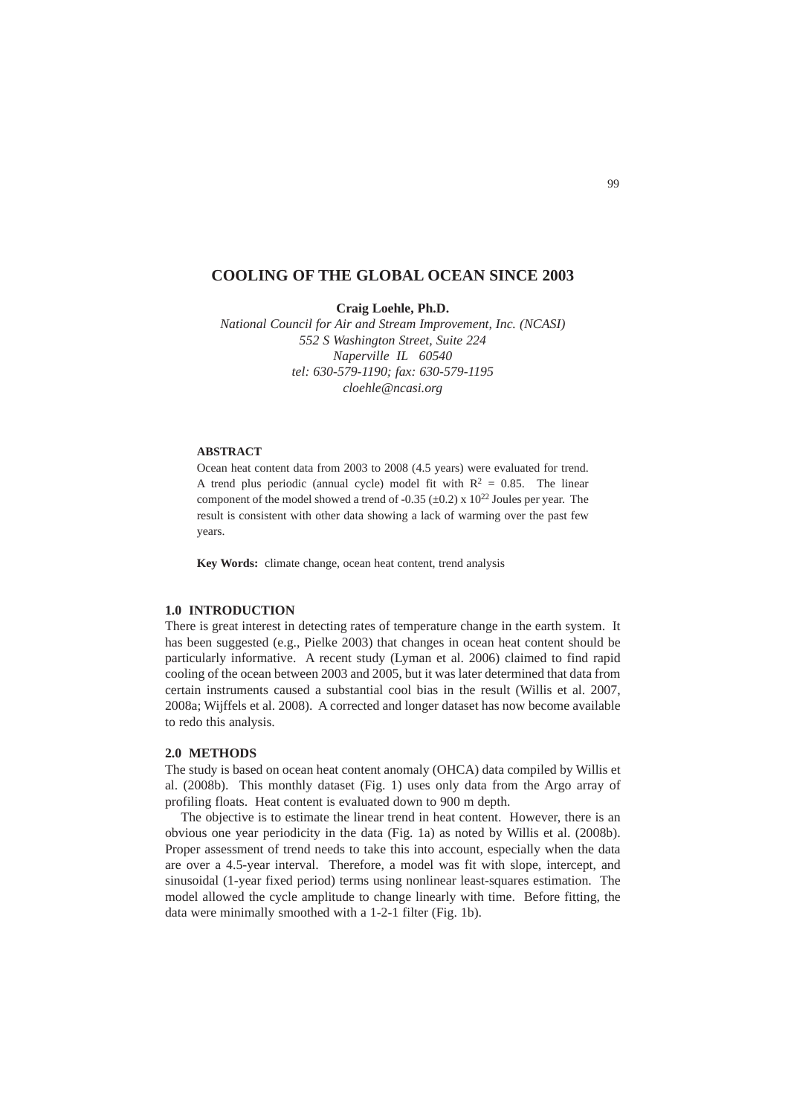# **COOLING OF THE GLOBAL OCEAN SINCE 2003**

**Craig Loehle, Ph.D.**

*National Council for Air and Stream Improvement, Inc. (NCASI) 552 S Washington Street, Suite 224 Naperville IL 60540 tel: 630-579-1190; fax: 630-579-1195 cloehle@ncasi.org*

## **ABSTRACT**

Ocean heat content data from 2003 to 2008 (4.5 years) were evaluated for trend. A trend plus periodic (annual cycle) model fit with  $R^2 = 0.85$ . The linear component of the model showed a trend of -0.35 ( $\pm$ 0.2) x 10<sup>22</sup> Joules per year. The result is consistent with other data showing a lack of warming over the past few years.

**Key Words:** climate change, ocean heat content, trend analysis

## **1.0 INTRODUCTION**

There is great interest in detecting rates of temperature change in the earth system. It has been suggested (e.g., Pielke 2003) that changes in ocean heat content should be particularly informative. A recent study (Lyman et al. 2006) claimed to find rapid cooling of the ocean between 2003 and 2005, but it was later determined that data from certain instruments caused a substantial cool bias in the result (Willis et al. 2007, 2008a; Wijffels et al. 2008). A corrected and longer dataset has now become available to redo this analysis.

#### **2.0 METHODS**

The study is based on ocean heat content anomaly (OHCA) data compiled by Willis et al. (2008b). This monthly dataset (Fig. 1) uses only data from the Argo array of profiling floats. Heat content is evaluated down to 900 m depth.

The objective is to estimate the linear trend in heat content. However, there is an obvious one year periodicity in the data (Fig. 1a) as noted by Willis et al. (2008b). Proper assessment of trend needs to take this into account, especially when the data are over a 4.5-year interval. Therefore, a model was fit with slope, intercept, and sinusoidal (1-year fixed period) terms using nonlinear least-squares estimation. The model allowed the cycle amplitude to change linearly with time. Before fitting, the data were minimally smoothed with a 1-2-1 filter (Fig. 1b).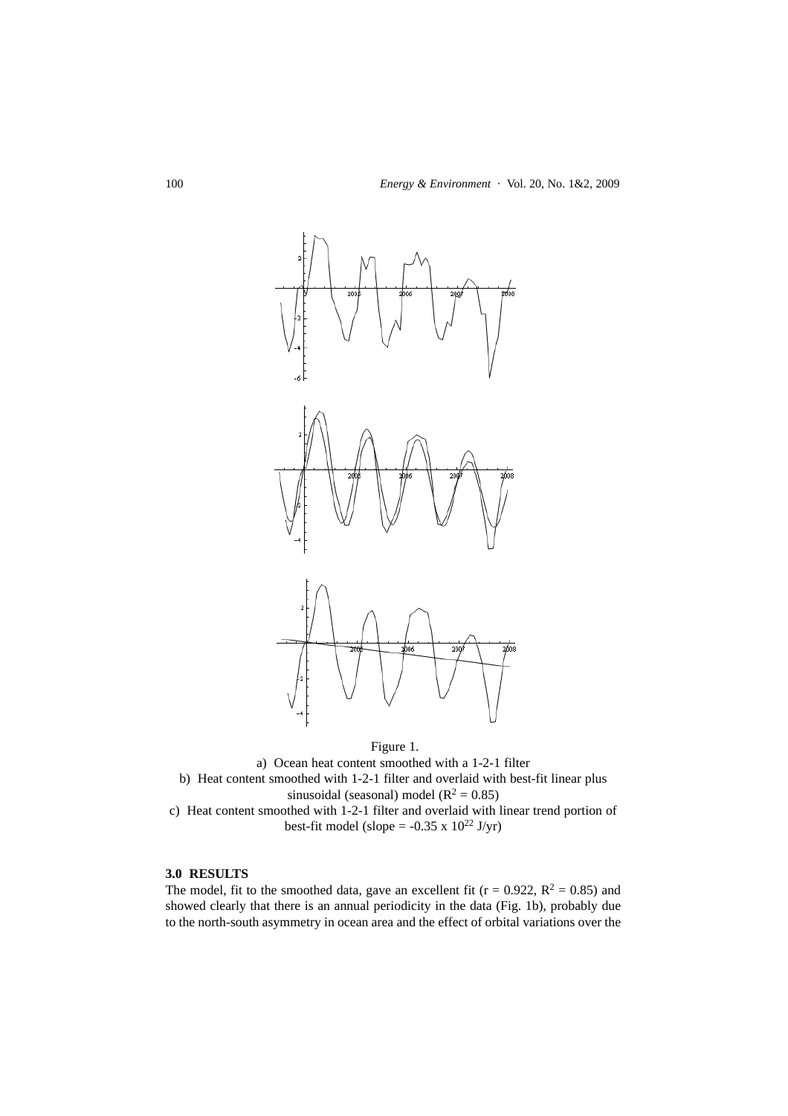

Figure 1.

a) Ocean heat content smoothed with a 1-2-1 filter b) Heat content smoothed with 1-2-1 filter and overlaid with best-fit linear plus sinusoidal (seasonal) model ( $R^2 = 0.85$ ) c) Heat content smoothed with 1-2-1 filter and overlaid with linear trend portion of best-fit model (slope =  $-0.35 \times 10^{22}$  J/yr)

### **3.0 RESULTS**

The model, fit to the smoothed data, gave an excellent fit ( $r = 0.922$ ,  $R^2 = 0.85$ ) and showed clearly that there is an annual periodicity in the data (Fig. 1b), probably due to the north-south asymmetry in ocean area and the effect of orbital variations over the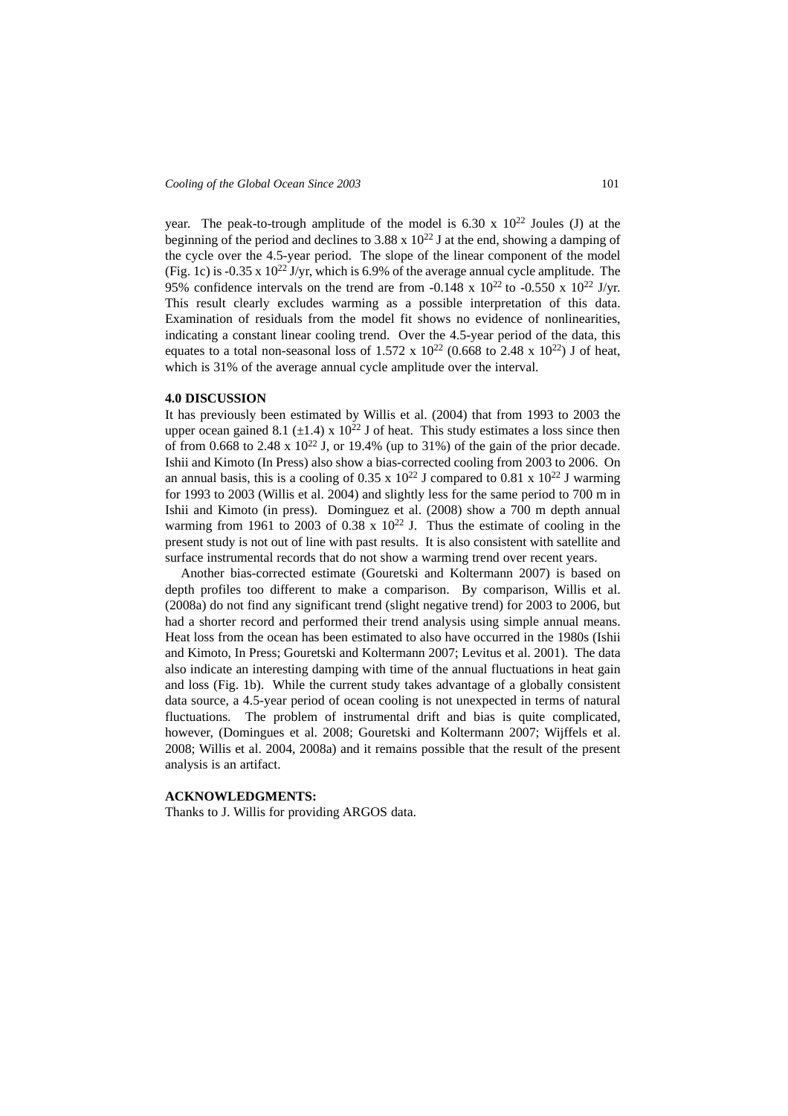year. The peak-to-trough amplitude of the model is  $6.30 \times 10^{22}$  Joules (J) at the beginning of the period and declines to 3.88 x  $10^{22}$  J at the end, showing a damping of the cycle over the 4.5-year period. The slope of the linear component of the model (Fig. 1c) is -0.35 x  $10^{22}$  J/yr, which is 6.9% of the average annual cycle amplitude. The 95% confidence intervals on the trend are from -0.148 x  $10^{22}$  to -0.550 x  $10^{22}$  J/yr. This result clearly excludes warming as a possible interpretation of this data. Examination of residuals from the model fit shows no evidence of nonlinearities, indicating a constant linear cooling trend. Over the 4.5-year period of the data, this equates to a total non-seasonal loss of 1.572 x  $10^{22}$  (0.668 to 2.48 x  $10^{22}$ ) J of heat, which is 31% of the average annual cycle amplitude over the interval.

## **4.0 DISCUSSION**

It has previously been estimated by Willis et al. (2004) that from 1993 to 2003 the upper ocean gained 8.1 ( $\pm$ 1.4) x 10<sup>22</sup> J of heat. This study estimates a loss since then of from 0.668 to 2.48 x  $10^{22}$  J, or 19.4% (up to 31%) of the gain of the prior decade. Ishii and Kimoto (In Press) also show a bias-corrected cooling from 2003 to 2006. On an annual basis, this is a cooling of 0.35 x  $10^{22}$  J compared to 0.81 x  $10^{22}$  J warming for 1993 to 2003 (Willis et al. 2004) and slightly less for the same period to 700 m in Ishii and Kimoto (in press). Dominguez et al. (2008) show a 700 m depth annual warming from 1961 to 2003 of 0.38  $x$  10<sup>22</sup> J. Thus the estimate of cooling in the present study is not out of line with past results. It is also consistent with satellite and surface instrumental records that do not show a warming trend over recent years.

Another bias-corrected estimate (Gouretski and Koltermann 2007) is based on depth profiles too different to make a comparison. By comparison, Willis et al. (2008a) do not find any significant trend (slight negative trend) for 2003 to 2006, but had a shorter record and performed their trend analysis using simple annual means. Heat loss from the ocean has been estimated to also have occurred in the 1980s (Ishii and Kimoto, In Press; Gouretski and Koltermann 2007; Levitus et al. 2001). The data also indicate an interesting damping with time of the annual fluctuations in heat gain and loss (Fig. 1b). While the current study takes advantage of a globally consistent data source, a 4.5-year period of ocean cooling is not unexpected in terms of natural fluctuations. The problem of instrumental drift and bias is quite complicated, however, (Domingues et al. 2008; Gouretski and Koltermann 2007; Wijffels et al. 2008; Willis et al. 2004, 2008a) and it remains possible that the result of the present analysis is an artifact.

#### **ACKNOWLEDGMENTS:**

Thanks to J. Willis for providing ARGOS data.